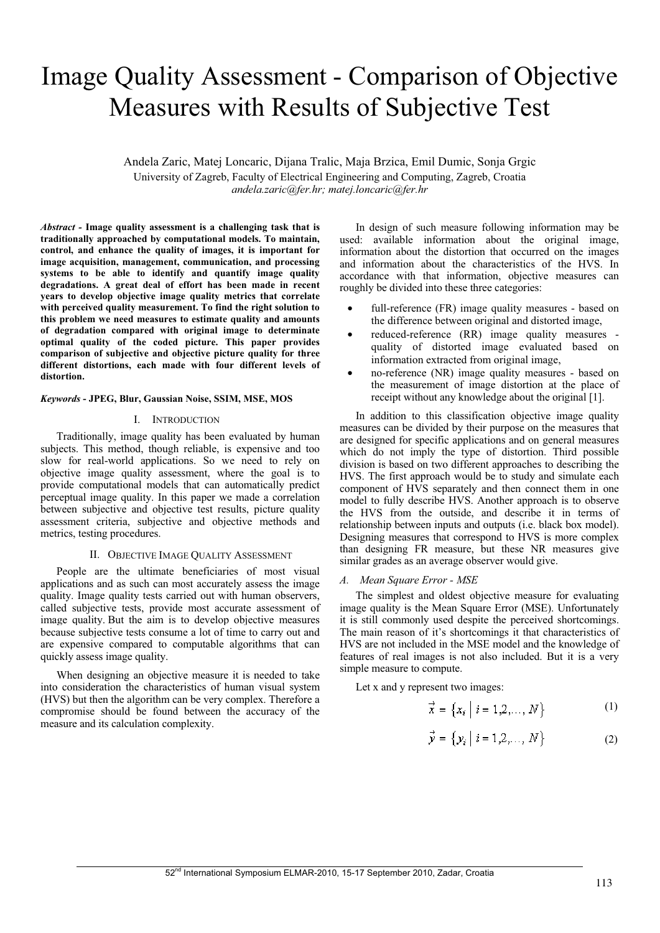# Image Quality Assessment - Comparison of Objective Measures with Results of Subjective Test

Andela Zaric, Matej Loncaric, Dijana Tralic, Maja Brzica, Emil Dumic, Sonja Grgic University of Zagreb, Faculty of Electrical Engineering and Computing, Zagreb, Croatia *andela.zaric@fer.hr; matej.loncaric@fer.hr*

*Abstract -* **Image quality assessment is a challenging task that is traditionally approached by computational models. To maintain, control, and enhance the quality of images, it is important for image acquisition, management, communication, and processing systems to be able to identify and quantify image quality degradations. A great deal of effort has been made in recent years to develop objective image quality metrics that correlate with perceived quality measurement. To find the right solution to this problem we need measures to estimate quality and amounts of degradation compared with original image to determinate optimal quality of the coded picture. This paper provides comparison of subjective and objective picture quality for three different distortions, each made with four different levels of distortion.**

# *Keywords* **- JPEG, Blur, Gaussian Noise, SSIM, MSE, MOS**

# I. INTRODUCTION

Traditionally, image quality has been evaluated by human subjects. This method, though reliable, is expensive and too slow for real-world applications. So we need to rely on objective image quality assessment, where the goal is to provide computational models that can automatically predict perceptual image quality. In this paper we made a correlation between subjective and objective test results, picture quality assessment criteria, subjective and objective methods and metrics, testing procedures.

## II. OBJECTIVE IMAGE QUALITY ASSESSMENT

People are the ultimate beneficiaries of most visual applications and as such can most accurately assess the image quality. Image quality tests carried out with human observers, called subjective tests, provide most accurate assessment of image quality. But the aim is to develop objective measures because subjective tests consume a lot of time to carry out and are expensive compared to computable algorithms that can quickly assess image quality.

When designing an objective measure it is needed to take into consideration the characteristics of human visual system (HVS) but then the algorithm can be very complex. Therefore a compromise should be found between the accuracy of the measure and its calculation complexity.

In design of such measure following information may be used: available information about the original image, information about the distortion that occurred on the images and information about the characteristics of the HVS. In accordance with that information, objective measures can roughly be divided into these three categories:

- full-reference (FR) image quality measures based on the difference between original and distorted image,
- reduced-reference (RR) image quality measures quality of distorted image evaluated based on information extracted from original image,
- no-reference (NR) image quality measures based on the measurement of image distortion at the place of receipt without any knowledge about the original [1].

In addition to this classification objective image quality measures can be divided by their purpose on the measures that are designed for specific applications and on general measures which do not imply the type of distortion. Third possible division is based on two different approaches to describing the HVS. The first approach would be to study and simulate each component of HVS separately and then connect them in one model to fully describe HVS. Another approach is to observe the HVS from the outside, and describe it in terms of relationship between inputs and outputs (i.e. black box model). Designing measures that correspond to HVS is more complex than designing FR measure, but these NR measures give similar grades as an average observer would give.

## *A. Mean Square Error - MSE*

The simplest and oldest objective measure for evaluating image quality is the Mean Square Error (MSE). Unfortunately it is still commonly used despite the perceived shortcomings. The main reason of it's shortcomings it that characteristics of HVS are not included in the MSE model and the knowledge of features of real images is not also included. But it is a very simple measure to compute.

Let x and y represent two images:

$$
\vec{x} = \{x_i \mid i = 1, 2, \dots, N\}
$$
 (1)

$$
\vec{y} = \{y_i \mid i = 1, 2, ..., N\}
$$
 (2)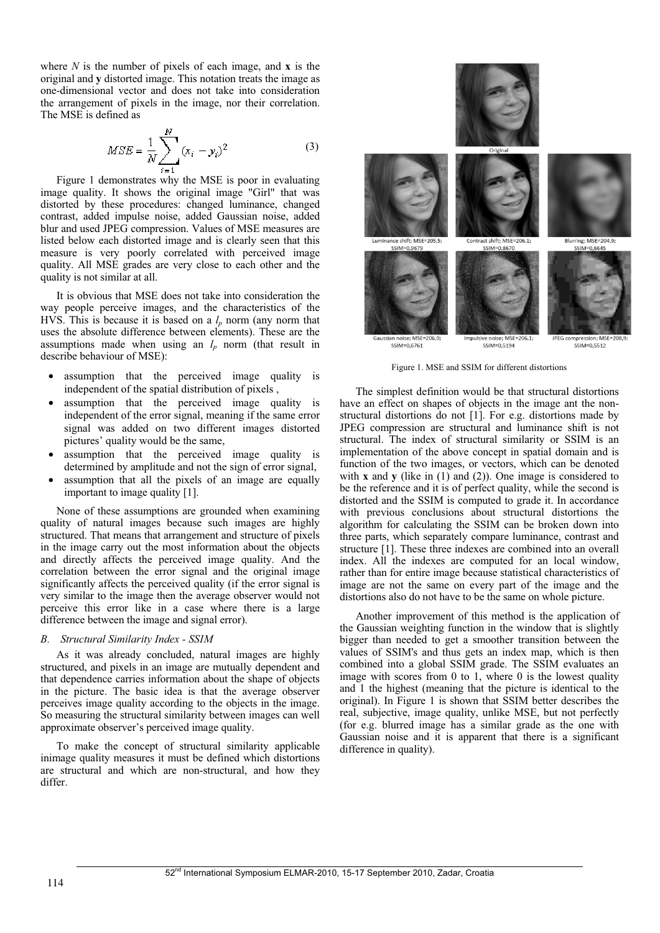where *N* is the number of pixels of each image, and **x** is the original and **y** distorted image. This notation treats the image as one-dimensional vector and does not take into consideration the arrangement of pixels in the image, nor their correlation. The MSE is defined as

$$
MSE = \frac{1}{N} \sum_{i=1}^{N} (x_i - y_i)^2
$$
 (3)

Figure 1 demonstrates why the MSE is poor in evaluating image quality. It shows the original image "Girl" that was distorted by these procedures: changed luminance, changed contrast, added impulse noise, added Gaussian noise, added blur and used JPEG compression. Values of MSE measures are listed below each distorted image and is clearly seen that this measure is very poorly correlated with perceived image quality. All MSE grades are very close to each other and the quality is not similar at all.

It is obvious that MSE does not take into consideration the way people perceive images, and the characteristics of the HVS. This is because it is based on a  $l_p$  norm (any norm that uses the absolute difference between elements). These are the assumptions made when using an  $l_p$  norm (that result in describe behaviour of MSE):

- assumption that the perceived image quality is independent of the spatial distribution of pixels ,
- assumption that the perceived image quality is independent of the error signal, meaning if the same error signal was added on two different images distorted pictures' quality would be the same,
- assumption that the perceived image quality is determined by amplitude and not the sign of error signal,
- assumption that all the pixels of an image are equally important to image quality [1].

None of these assumptions are grounded when examining quality of natural images because such images are highly structured. That means that arrangement and structure of pixels in the image carry out the most information about the objects and directly affects the perceived image quality. And the correlation between the error signal and the original image significantly affects the perceived quality (if the error signal is very similar to the image then the average observer would not perceive this error like in a case where there is a large difference between the image and signal error).

# *B. Structural Similarity Index - SSIM*

As it was already concluded, natural images are highly structured, and pixels in an image are mutually dependent and that dependence carries information about the shape of objects in the picture. The basic idea is that the average observer perceives image quality according to the objects in the image. So measuring the structural similarity between images can well approximate observer's perceived image quality.

To make the concept of structural similarity applicable inimage quality measures it must be defined which distortions are structural and which are non-structural, and how they differ.



Figure 1. MSE and SSIM for different distortions

The simplest definition would be that structural distortions have an effect on shapes of objects in the image ant the nonstructural distortions do not [1]. For e.g. distortions made by JPEG compression are structural and luminance shift is not structural. The index of structural similarity or SSIM is an implementation of the above concept in spatial domain and is function of the two images, or vectors, which can be denoted with **x** and **y** (like in (1) and (2)). One image is considered to be the reference and it is of perfect quality, while the second is distorted and the SSIM is computed to grade it. In accordance with previous conclusions about structural distortions the algorithm for calculating the SSIM can be broken down into three parts, which separately compare luminance, contrast and structure [1]. These three indexes are combined into an overall index. All the indexes are computed for an local window, rather than for entire image because statistical characteristics of image are not the same on every part of the image and the distortions also do not have to be the same on whole picture.

Another improvement of this method is the application of the Gaussian weighting function in the window that is slightly bigger than needed to get a smoother transition between the values of SSIM's and thus gets an index map, which is then combined into a global SSIM grade. The SSIM evaluates an image with scores from 0 to 1, where 0 is the lowest quality and 1 the highest (meaning that the picture is identical to the original). In Figure 1 is shown that SSIM better describes the real, subjective, image quality, unlike MSE, but not perfectly (for e.g. blurred image has a similar grade as the one with Gaussian noise and it is apparent that there is a significant difference in quality).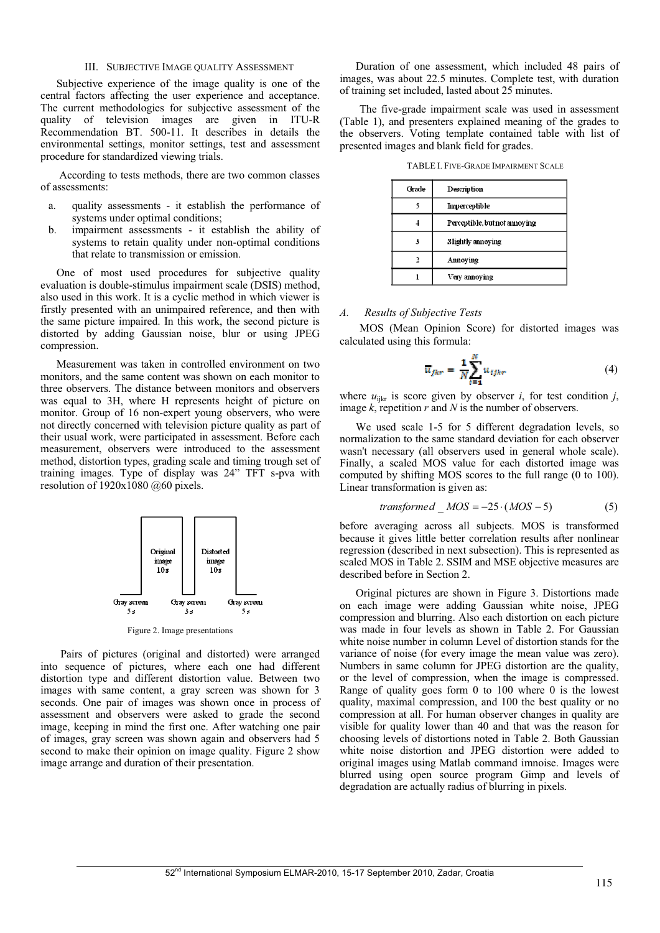## III. SUBJECTIVE IMAGE QUALITY ASSESSMENT

Subjective experience of the image quality is one of the central factors affecting the user experience and acceptance. The current methodologies for subjective assessment of the quality of television images are given in ITU-R Recommendation BT. 500-11. It describes in details the environmental settings, monitor settings, test and assessment procedure for standardized viewing trials.

 According to tests methods, there are two common classes of assessments:

- a. quality assessments it establish the performance of systems under optimal conditions;
- b. impairment assessments it establish the ability of systems to retain quality under non-optimal conditions that relate to transmission or emission.

One of most used procedures for subjective quality evaluation is double-stimulus impairment scale (DSIS) method, also used in this work. It is a cyclic method in which viewer is firstly presented with an unimpaired reference, and then with the same picture impaired. In this work, the second picture is distorted by adding Gaussian noise, blur or using JPEG compression.

Measurement was taken in controlled environment on two monitors, and the same content was shown on each monitor to three observers. The distance between monitors and observers was equal to 3H, where H represents height of picture on monitor. Group of 16 non-expert young observers, who were not directly concerned with television picture quality as part of their usual work, were participated in assessment. Before each measurement, observers were introduced to the assessment method, distortion types, grading scale and timing trough set of training images. Type of display was 24" TFT s-pva with resolution of 1920x1080 @60 pixels.



Figure 2. Image presentations

Pairs of pictures (original and distorted) were arranged into sequence of pictures, where each one had different distortion type and different distortion value. Between two images with same content, a gray screen was shown for 3 seconds. One pair of images was shown once in process of assessment and observers were asked to grade the second image, keeping in mind the first one. After watching one pair of images, gray screen was shown again and observers had 5 second to make their opinion on image quality. Figure 2 show image arrange and duration of their presentation.

Duration of one assessment, which included 48 pairs of images, was about 22.5 minutes. Complete test, with duration of training set included, lasted about 25 minutes.

The five-grade impairment scale was used in assessment (Table 1), and presenters explained meaning of the grades to the observers. Voting template contained table with list of presented images and blank field for grades.

TABLE I. FIVE-GRADE IMPAIRMENT SCALE

| Grade | Description                    |
|-------|--------------------------------|
|       | Imperceptible                  |
|       | Perceptible, but not annoy ing |
|       | Slightly annoying              |
|       | Annoying                       |
|       | Very annoying                  |

# *A. Results of Subjective Tests*

MOS (Mean Opinion Score) for distorted images was calculated using this formula:

$$
\overline{u}_{fkr} = \frac{1}{N} \sum_{i=1}^{N} u_{tfkr} \tag{4}
$$

where  $u_{ijkr}$  is score given by observer *i*, for test condition *j*, image *k*, repetition *r* and *N* is the number of observers.

We used scale 1-5 for 5 different degradation levels, so normalization to the same standard deviation for each observer wasn't necessary (all observers used in general whole scale). Finally, a scaled MOS value for each distorted image was computed by shifting MOS scores to the full range (0 to 100). Linear transformation is given as:

$$
transformed \_MOS = -25 \cdot (MOS - 5) \tag{5}
$$

before averaging across all subjects. MOS is transformed because it gives little better correlation results after nonlinear regression (described in next subsection). This is represented as scaled MOS in Table 2. SSIM and MSE objective measures are described before in Section 2.

Original pictures are shown in Figure 3. Distortions made on each image were adding Gaussian white noise, JPEG compression and blurring. Also each distortion on each picture was made in four levels as shown in Table 2. For Gaussian white noise number in column Level of distortion stands for the variance of noise (for every image the mean value was zero). Numbers in same column for JPEG distortion are the quality, or the level of compression, when the image is compressed. Range of quality goes form 0 to 100 where 0 is the lowest quality, maximal compression, and 100 the best quality or no compression at all. For human observer changes in quality are visible for quality lower than 40 and that was the reason for choosing levels of distortions noted in Table 2. Both Gaussian white noise distortion and JPEG distortion were added to original images using Matlab command imnoise. Images were blurred using open source program Gimp and levels of degradation are actually radius of blurring in pixels.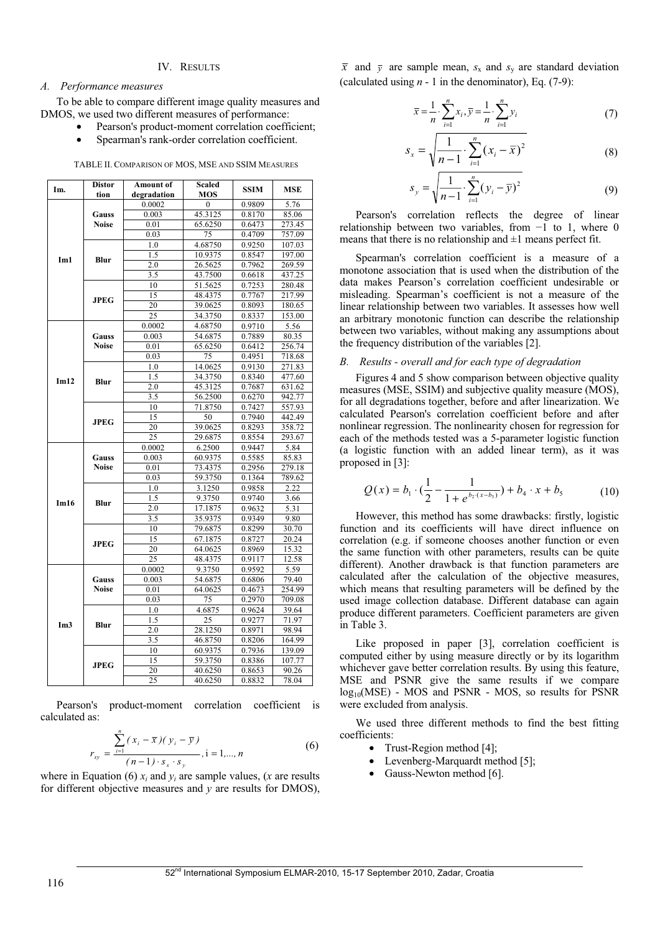# IV. RESULTS

## *A. Performance measures*

To be able to compare different image quality measures and DMOS, we used two different measures of performance:

- Pearson's product-moment correlation coefficient;
- Spearman's rank-order correlation coefficient.

TABLE II. COMPARISON OF MOS, MSE AND SSIM MEASURES

| Im.             | Distor       | Amount of       | Scaled       | <b>SSIM</b> | <b>MSE</b> |
|-----------------|--------------|-----------------|--------------|-------------|------------|
|                 | tion         | degradation     | <b>MOS</b>   |             |            |
| Im1             |              | 0.0002          | $\mathbf{0}$ | 0.9809      | 5.76       |
|                 | Gauss        | 0.003           | 45.3125      | 0.8170      | 85.06      |
|                 | <b>Noise</b> | 0.01            | 65.6250      | 0.6473      | 273.45     |
|                 |              | 0.03            | 75           | 0.4709      | 757.09     |
|                 | Blur         | 1.0             | 4.68750      | 0.9250      | 107.03     |
|                 |              | 1.5             | 10.9375      | 0.8547      | 197.00     |
|                 |              | 2.0             | 26.5625      | 0.7962      | 269.59     |
|                 |              | 3.5             | 43.7500      | 0.6618      | 437.25     |
|                 | <b>JPEG</b>  | 10              | 51.5625      | 0.7253      | 280.48     |
|                 |              | 15              | 48.4375      | 0.7767      | 217.99     |
|                 |              | 20              | 39.0625      | 0.8093      | 180.65     |
|                 |              | 25              | 34.3750      | 0.8337      | 153.00     |
|                 |              | 0.0002          | 4.68750      | 0.9710      | 5.56       |
|                 | Gauss        | 0.003           | 54.6875      | 0.7889      | 80.35      |
|                 | <b>Noise</b> | 0.01            | 65.6250      | 0.6412      | 256.74     |
|                 |              | 0.03            | 75           | 0.4951      | 718.68     |
|                 |              | 1.0             | 14.0625      | 0.9130      | 271.83     |
| Im12            |              | 1.5             | 34.3750      | 0.8340      | 477.60     |
|                 | Blur         | 2.0             | 45.3125      | 0.7687      | 631.62     |
|                 |              | 3.5             | 56.2500      | 0.6270      | 942.77     |
|                 |              | 10              | 71.8750      | 0.7427      | 557.93     |
|                 |              | 15              | 50           | 0.7940      | 442.49     |
|                 | <b>JPEG</b>  | 20              | 39.0625      | 0.8293      | 358.72     |
|                 |              | 25              | 29.6875      | 0.8554      | 293.67     |
|                 |              | 0.0002          | 6.2500       | 0.9447      | 5.84       |
|                 | Gauss        | 0.003           | 60.9375      | 0.5585      | 85.83      |
|                 | <b>Noise</b> | 0.01            | 73.4375      | 0.2956      | 279.18     |
|                 |              | 0.03            | 59.3750      | 0.1364      | 789.62     |
|                 | Blur         | 1.0             | 3.1250       | 0.9858      | 2.22       |
|                 |              | 1.5             | 9.3750       | 0.9740      | 3.66       |
| Im16            |              | 2.0             | 17.1875      | 0.9632      | 5.31       |
|                 |              | 3.5             | 35.9375      | 0.9349      | 9.80       |
|                 |              | 10              | 79.6875      | 0.8299      | 30.70      |
|                 |              | $\overline{15}$ | 67.1875      | 0.8727      | 20.24      |
|                 | <b>JPEG</b>  | 20              | 64.0625      | 0.8969      | 15.32      |
|                 |              | $\overline{25}$ | 48.4375      | 0.9117      | 12.58      |
|                 |              | 0.0002          | 9.3750       | 0.9592      | 5.59       |
|                 | Gauss        | 0.003           | 54.6875      | 0.6806      | 79.40      |
|                 | <b>Noise</b> | 0.01            | 64.0625      | 0.4673      | 254.99     |
|                 |              | 0.03            | 75           | 0.2970      | 709.08     |
|                 |              | 1.0             | 4.6875       | 0.9624      | 39.64      |
| Im <sub>3</sub> | Blur         | 1.5             | 25           | 0.9277      | 71.97      |
|                 |              | 2.0             | 28.1250      | 0.8971      | 98.94      |
|                 |              | 3.5             | 46.8750      | 0.8206      | 164.99     |
|                 |              | 10              | 60.9375      | 0.7936      | 139.09     |
|                 | <b>JPEG</b>  | 15              | 59.3750      | 0.8386      | 107.77     |
|                 |              | 20              | 40.6250      | 0.8653      | 90.26      |
|                 |              | 25              | 40.6250      | 0.8832      | 78.04      |
|                 |              |                 |              |             |            |

Pearson's product-moment correlation coefficient is calculated as:

$$
r_{xy} = \frac{\sum_{i=1}^{n} (x_i - \overline{x})(y_i - \overline{y})}{(n-1) \cdot s_x \cdot s_y}, i = 1,..., n
$$
 (6)

where in Equation (6)  $x_i$  and  $y_i$  are sample values, (*x* are results for different objective measures and *y* are results for DMOS),

 $\bar{x}$  and  $\bar{y}$  are sample mean,  $s_x$  and  $s_y$  are standard deviation (calculated using  $n - 1$  in the denominator), Eq. (7-9):

*s*

$$
\bar{x} = \frac{1}{n} \cdot \sum_{i=1}^{n} x_i, \bar{y} = \frac{1}{n} \cdot \sum_{i=1}^{n} y_i
$$
 (7)

$$
x_{x} = \sqrt{\frac{1}{n-1} \cdot \sum_{i=1}^{n} (x_i - \overline{x})^2}
$$
 (8)

$$
s_{y} = \sqrt{\frac{1}{n-1} \cdot \sum_{i=1}^{n} (y_{i} - \overline{y})^{2}}
$$
 (9)

Pearson's correlation reflects the degree of linear relationship between two variables, from  $-1$  to 1, where 0 means that there is no relationship and  $\pm 1$  means perfect fit.

Spearman's correlation coefficient is a measure of a monotone association that is used when the distribution of the data makes Pearson's correlation coefficient undesirable or misleading. Spearman's coefficient is not a measure of the linear relationship between two variables. It assesses how well an arbitrary monotonic function can describe the relationship between two variables, without making any assumptions about the frequency distribution of the variables [2].

# *B. Results - overall and for each type of degradation*

Figures 4 and 5 show comparison between objective quality measures (MSE, SSIM) and subjective quality measure (MOS), for all degradations together, before and after linearization. We calculated Pearson's correlation coefficient before and after nonlinear regression. The nonlinearity chosen for regression for each of the methods tested was a 5-parameter logistic function (a logistic function with an added linear term), as it was proposed in [3]:

$$
Q(x) = b_1 \cdot (\frac{1}{2} - \frac{1}{1 + e^{b_2(x - b_3)}}) + b_4 \cdot x + b_5
$$
 (10)

However, this method has some drawbacks: firstly, logistic function and its coefficients will have direct influence on correlation (e.g. if someone chooses another function or even the same function with other parameters, results can be quite different). Another drawback is that function parameters are calculated after the calculation of the objective measures, which means that resulting parameters will be defined by the used image collection database. Different database can again produce different parameters. Coefficient parameters are given in Table 3.

Like proposed in paper [3], correlation coefficient is computed either by using measure directly or by its logarithm whichever gave better correlation results. By using this feature, MSE and PSNR give the same results if we compare log<sub>10</sub>(MSE) - MOS and PSNR - MOS, so results for PSNR were excluded from analysis.

We used three different methods to find the best fitting coefficients:

- Trust-Region method [4];
- Levenberg-Marquardt method [5];
- Gauss-Newton method [6].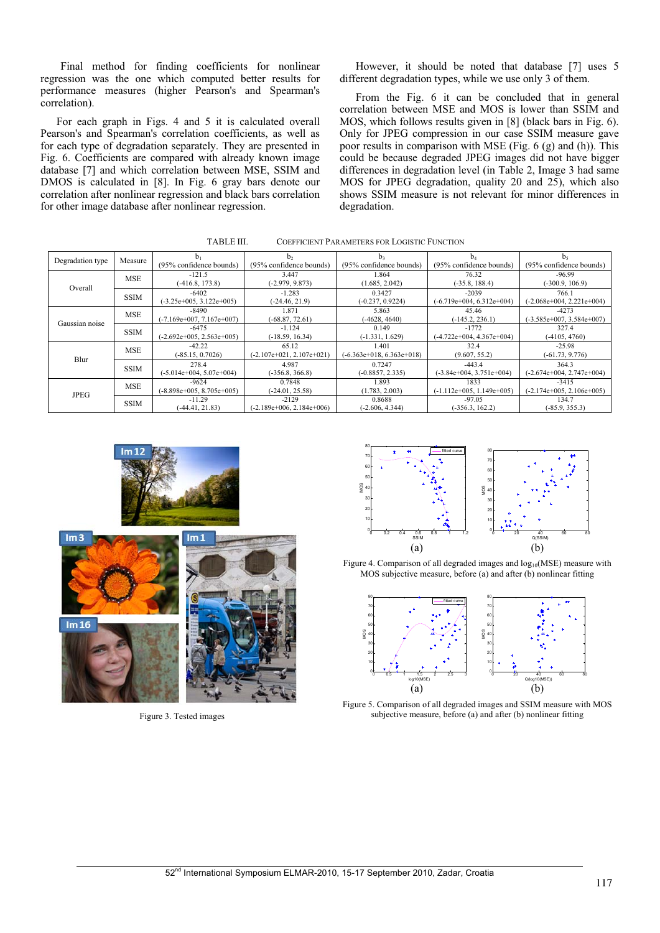Final method for finding coefficients for nonlinear regression was the one which computed better results for performance measures (higher Pearson's and Spearman's correlation).

For each graph in Figs. 4 and 5 it is calculated overall Pearson's and Spearman's correlation coefficients, as well as for each type of degradation separately. They are presented in Fig. 6. Coefficients are compared with already known image database [7] and which correlation between MSE, SSIM and DMOS is calculated in [8]. In Fig. 6 gray bars denote our correlation after nonlinear regression and black bars correlation for other image database after nonlinear regression.

However, it should be noted that database [7] uses 5 different degradation types, while we use only 3 of them.

From the Fig. 6 it can be concluded that in general correlation between MSE and MOS is lower than SSIM and MOS, which follows results given in [8] (black bars in Fig. 6). Only for JPEG compression in our case SSIM measure gave poor results in comparison with MSE (Fig. 6 (g) and (h)). This could be because degraded JPEG images did not have bigger differences in degradation level (in Table 2, Image 3 had same MOS for JPEG degradation, quality 20 and 25), which also shows SSIM measure is not relevant for minor differences in degradation.

| 1 ADLE III.<br>COEFFICIENT PARAMETERS FOR LOGISTIC FUNCTION |             |                             |                             |                             |                             |                             |  |  |  |
|-------------------------------------------------------------|-------------|-----------------------------|-----------------------------|-----------------------------|-----------------------------|-----------------------------|--|--|--|
| Degradation type                                            | Measure     |                             | b,                          | b <sub>3</sub>              | $b_4$                       | b <sub>5</sub>              |  |  |  |
|                                                             |             | (95% confidence bounds)     | (95% confidence bounds)     | (95% confidence bounds)     | (95% confidence bounds)     | $(95%$ confidence bounds)   |  |  |  |
| Overall                                                     | <b>MSE</b>  | $-121.5$                    | 3.447                       | 1.864                       | 76.32                       | $-96.99$                    |  |  |  |
|                                                             |             | $(-416.8, 173.8)$           | $(-2.979, 9.873)$           | (1.685, 2.042)              | $(-35.8, 188.4)$            | $(-300.9, 106.9)$           |  |  |  |
|                                                             | <b>SSIM</b> | $-6402$                     | $-1.283$                    | 0.3427                      | $-2039$                     | 766.1                       |  |  |  |
|                                                             |             | $(-3.25e+005, 3.122e+005)$  | $(-24.46, 21.9)$            | $(-0.237, 0.9224)$          | $(-6.719e+004, 6.312e+004)$ | $(-2.068e+004, 2.221e+004)$ |  |  |  |
| Gaussian noise                                              | <b>MSE</b>  | -8490                       | 1.871                       | 5.863                       | 45.46                       | $-4273$                     |  |  |  |
|                                                             |             | $(-7.169e+007, 7.167e+007)$ | $(-68.87, 72.61)$           | $(-4628, 4640)$             | $(-145.2, 236.1)$           | $(-3.585e+007, 3.584e+007)$ |  |  |  |
|                                                             | <b>SSIM</b> | -6475                       | $-1.124$                    | 0.149                       | $-1772$                     | 327.4                       |  |  |  |
|                                                             |             | $(-2.692e+005, 2.563e+005)$ | $(-18.59, 16.34)$           | $(-1.331, 1.629)$           | (-4.722e+004, 4.367e+004)   | $(-4105, 4760)$             |  |  |  |
| Blur                                                        | <b>MSE</b>  | $-42.22$                    | 65.12                       | 1.401                       | 32.4                        | $-25.98$                    |  |  |  |
|                                                             |             | $(-85.15, 0.7026)$          | $(-2.107e+021, 2.107e+021)$ | $(-6.363e+018, 6.363e+018)$ | (9.607, 55.2)               | $(-61.73, 9.776)$           |  |  |  |
|                                                             | <b>SSIM</b> | 278.4                       | 4.987                       | 0.7247                      | $-443.4$                    | 364.3                       |  |  |  |
|                                                             |             | $(-5.014e+004, 5.07e+004)$  | $(-356.8, 366.8)$           | $(-0.8857, 2.335)$          | $(-3.84e+004, 3.751e+004)$  | (-2.674e+004, 2.747e+004)   |  |  |  |
| JPEG                                                        | <b>MSE</b>  | $-9624$                     | 0.7848                      | 1.893                       | 1833                        | $-3415$                     |  |  |  |
|                                                             |             | $(-8.898e+005, 8.705e+005)$ | $(-24.01, 25.58)$           | (1.783, 2.003)              | $(-1.112e+005, 1.149e+005)$ | (-2.174e+005, 2.106e+005)   |  |  |  |
|                                                             | <b>SSIM</b> | $-11.29$                    | $-2129$                     | 0.8688                      | $-97.05$                    | 134.7                       |  |  |  |
|                                                             |             | $(-44.41, 21.83)$           | (-2.189e+006, 2.184e+006)   | $(-2.606, 4.344)$           | $(-356.3, 162.2)$           | $(-85.9, 355.3)$            |  |  |  |

TABLE III. COEFFICIENT PARAMETERS FOR LOGISTIC FUNCTION





Figure 3. Tested images



Figure 4. Comparison of all degraded images and log<sub>10</sub>(MSE) measure with MOS subjective measure, before (a) and after (b) nonlinear fitting



Figure 5. Comparison of all degraded images and SSIM measure with MOS subjective measure, before (a) and after (b) nonlinear fitting